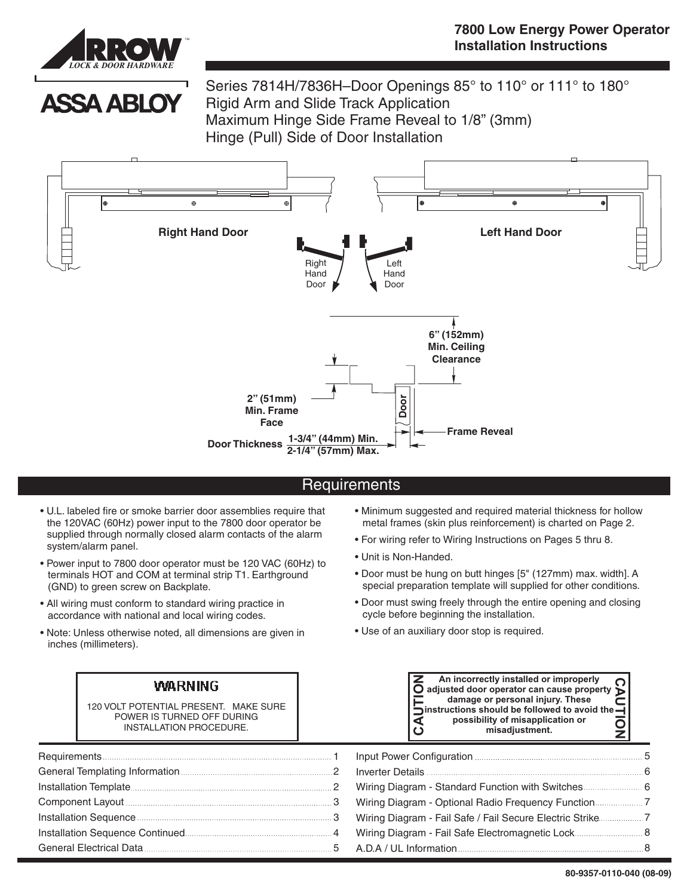

**ASSA ABLOY** 

Series 7814H/7836H–Door Openings 85° to 110° or 111° to 180° Rigid Arm and Slide Track Application Maximum Hinge Side Frame Reveal to 1/8" (3mm) Hinge (Pull) Side of Door Installation



## **Requirements**

- U.L. labeled fire or smoke barrier door assemblies require that the 120VAC (60Hz) power input to the 7800 door operator be supplied through normally closed alarm contacts of the alarm system/alarm panel.
- Power input to 7800 door operator must be 120 VAC (60Hz) to terminals HOT and COM at terminal strip T1. Earthground (GND) to green screw on Backplate.
- All wiring must conform to standard wiring practice in accordance with national and local wiring codes.

Г

• Note: Unless otherwise noted, all dimensions are given in inches (millimeters).

#### WA. **RNING**

- Minimum suggested and required material thickness for hollow metal frames (skin plus reinforcement) is charted on Page 2.
- For wiring refer to Wiring Instructions on Pages 5 thru 8.
- Unit is Non-Handed.

ΓΖ

- Door must be hung on butt hinges [5" (127mm) max. width]. A special preparation template will supplied for other conditions.
- Door must swing freely through the entire opening and closing cycle before beginning the installation.

**An incorrectly installed or improperly**

• Use of an auxiliary door stop is required.

|                                                                                                      | <b>WARNING</b><br>120 VOLT POTENTIAL PRESENT. MAKE SURE<br>POWER IS TURNED OFF DURING<br>INSTALLATION PROCEDURE. | An incorrectly installed or improperly<br>An incorrectly installed or improperly<br>adjusted door operator can cause property<br>damage or personal injury. These<br>instructions should be followed to avoid the $\overline{\rightarrow}$<br>possibility of misapplication or<br>misadjustment. |  |
|------------------------------------------------------------------------------------------------------|------------------------------------------------------------------------------------------------------------------|--------------------------------------------------------------------------------------------------------------------------------------------------------------------------------------------------------------------------------------------------------------------------------------------------|--|
|                                                                                                      |                                                                                                                  | Input Power Configuration <b>Manufacture 1996</b> 5                                                                                                                                                                                                                                              |  |
|                                                                                                      |                                                                                                                  |                                                                                                                                                                                                                                                                                                  |  |
|                                                                                                      |                                                                                                                  |                                                                                                                                                                                                                                                                                                  |  |
|                                                                                                      |                                                                                                                  |                                                                                                                                                                                                                                                                                                  |  |
| Installation Sequence <b>Manual According to the Sequence Manual</b> Sequence Manual Communication 3 |                                                                                                                  |                                                                                                                                                                                                                                                                                                  |  |
|                                                                                                      |                                                                                                                  | Wiring Diagram - Fail Safe Electromagnetic Lock 8                                                                                                                                                                                                                                                |  |
|                                                                                                      |                                                                                                                  |                                                                                                                                                                                                                                                                                                  |  |

 $\sim$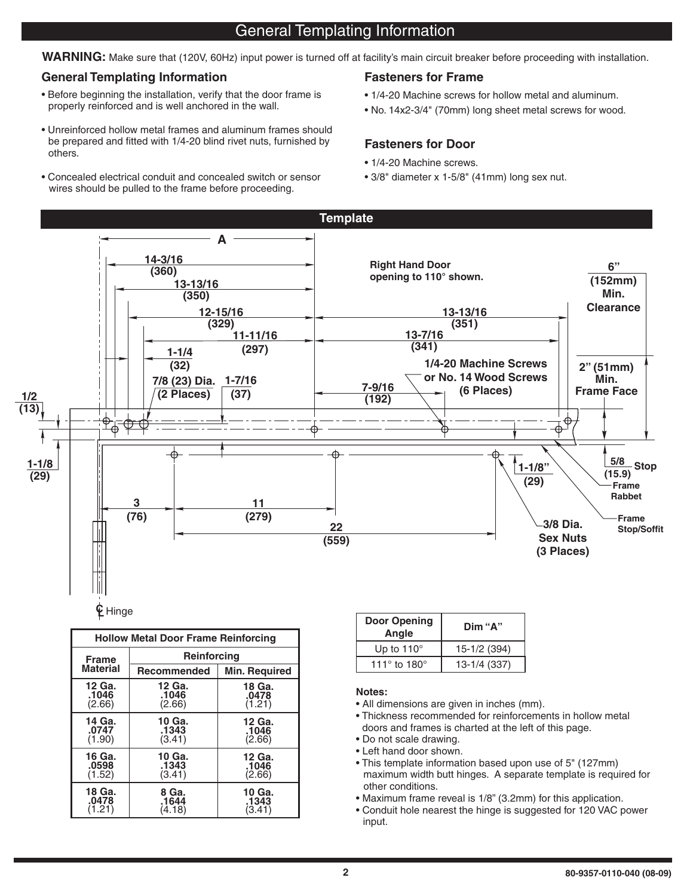# General Templating Information

WARNING: Make sure that (120V, 60Hz) input power is turned off at facility's main circuit breaker before proceeding with installation.

#### **General Templating Information Fasteners for Frame**

- Before beginning the installation, verify that the door frame is properly reinforced and is well anchored in the wall.
- Unreinforced hollow metal frames and aluminum frames should be prepared and fitted with 1/4-20 blind rivet nuts, furnished by others.
- Concealed electrical conduit and concealed switch or sensor wires should be pulled to the frame before proceeding.

- 1/4-20 Machine screws for hollow metal and aluminum.
- No. 14x2-3/4" (70mm) long sheet metal screws for wood.

### **Fasteners for Door**

- 1/4-20 Machine screws.
- 3/8" diameter x 1-5/8" (41mm) long sex nut.



| <b>Hollow Metal Door Frame Reinforcing</b> |                    |               |  |  |  |
|--------------------------------------------|--------------------|---------------|--|--|--|
| <b>Frame</b>                               | Reinforcing        |               |  |  |  |
| <b>Material</b>                            | <b>Recommended</b> | Min. Required |  |  |  |
| 12 Ga.                                     | 12 Ga.             | 18 Ga.        |  |  |  |
| .1046                                      | .1046              | .0478         |  |  |  |
| (2.66)                                     | (2.66)             | (1.21)        |  |  |  |
| 14 Ga.                                     | 10 Ga.             | 12 Ga.        |  |  |  |
| .0747                                      | .1343              | .1046         |  |  |  |
| (1.90)                                     | (3.41)             | (2.66)        |  |  |  |
| 16 Ga.                                     | 10 Ga.             | 12 Ga.        |  |  |  |
| .0598                                      | .1343              | .1046         |  |  |  |
| (1.52)                                     | (3.41)             | (2.66)        |  |  |  |
| 18 Ga.                                     | 8 Ga.              | 10 Ga.        |  |  |  |
| .0478                                      | .1644              | .1343         |  |  |  |
| (1.21)                                     | (4.18)             | (3.41)        |  |  |  |

| Door Opening<br>Angle          | Dim "A"      |
|--------------------------------|--------------|
| Up to $110^\circ$              | 15-1/2 (394) |
| 111 $\degree$ to 180 $\degree$ | 13-1/4 (337) |

#### **Notes:**

- All dimensions are given in inches (mm).
- Thickness recommended for reinforcements in hollow metal doors and frames is charted at the left of this page.
- Do not scale drawing.
- Left hand door shown.
- This template information based upon use of 5" (127mm) maximum width butt hinges. A separate template is required for other conditions.
- Maximum frame reveal is 1/8" (3.2mm) for this application.
- Conduit hole nearest the hinge is suggested for 120 VAC power input.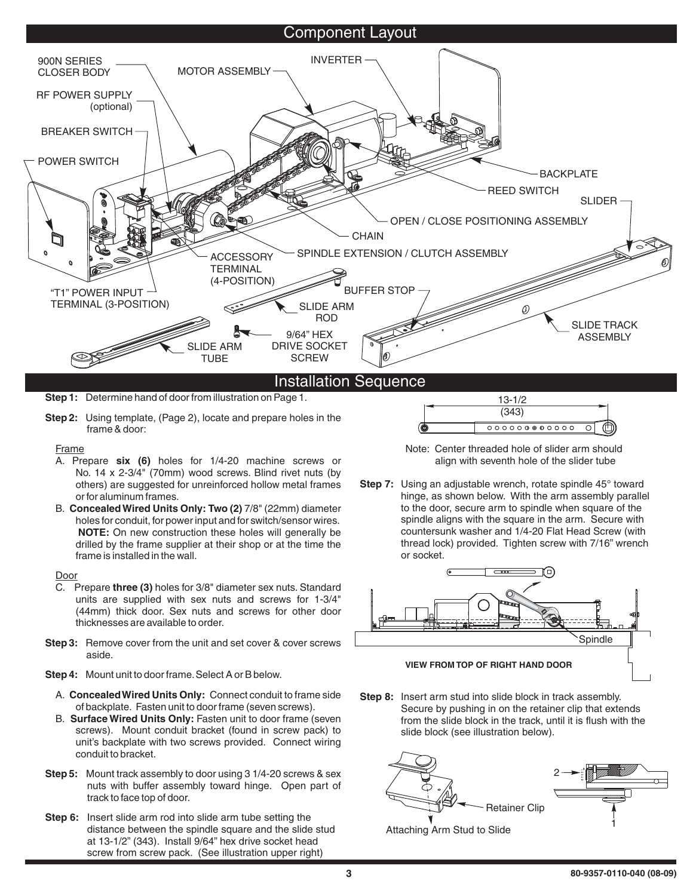### Component Layout



**Step 1:** Determine hand of door from illustration on Page 1.

**Step 2:** Using template, (Page 2), locate and prepare holes in the frame & door:

Frame

- A. Prepare six (6) holes for 1/4-20 machine screws or No. 14 x 2-3/4" (70mm) wood screws. Blind rivet nuts (by others) are suggested for unreinforced hollow metal frames or for aluminum frames.
- B. Concealed Wired Units Only: Two (2) 7/8" (22mm) diameter **NOTE:** On new construction these holes will generally be holes for conduit, for power input and for switch/sensor wires. drilled by the frame supplier at their shop or at the time the frame is installed in the wall.

Door

- C. Prepare **three (3)** holes for 3/8" diameter sex nuts. Standard units are supplied with sex nuts and screws for 1-3/4" (44mm) thick door. Sex nuts and screws for other door thicknesses are available to order.
- **Step 3:** Remove cover from the unit and set cover & cover screws aside.
- **Step 4:** Mount unit to door frame.Select A or B below.
	- A. Concealed Wired Units Only: Connect conduit to frame side of backplate. Fasten unit to door frame (seven screws).
	- B. Surface Wired Units Only: Fasten unit to door frame (seven screws). Mount conduit bracket (found in screw pack) to unit's backplate with two screws provided. Connect wiring conduit to bracket.
- **Step 5:** Mount track assembly to door using 3 1/4-20 screws & sex nuts with buffer assembly toward hinge. Open part of track to face top of door.
- **Step 6:** Insert slide arm rod into slide arm tube setting the distance between the spindle square and the slide stud at 13-1/2" (343). Install 9/64" hex drive socket head screw from screw pack. (See illustration upper right)



Note: Center threaded hole of slider arm should align with seventh hole of the slider tube

**Step 7:** Using an adjustable wrench, rotate spindle 45° toward hinge, as shown below. With the arm assembly parallel to the door, secure arm to spindle when square of the spindle aligns with the square in the arm. Secure with countersunk washer and 1/4-20 Flat Head Screw (with thread lock) provided. Tighten screw with 7/16" wrench or socket.



**Step 8:** Insert arm stud into slide block in track assembly. Secure by pushing in on the retainer clip that extends from the slide block in the track, until it is flush with the slide block (see illustration below).



Attaching Arm Stud to Slide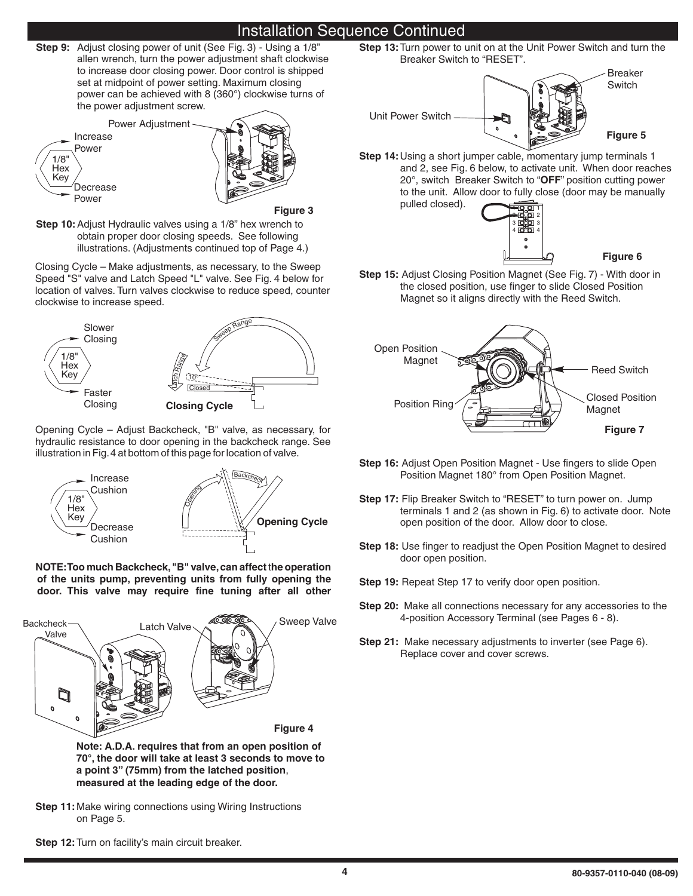# Installation Sequence Continued

**Step 9:** Adjust closing power of unit (See Fig. 3) - Using a 1/8" to increase door closing power. Door control is shipped set at midpoint of power setting. Maximum closing power can be achieved with 8 (360°) clockwise turns of the power adjustment screw. allen wrench, turn the power adjustment shaft clockwise



**Figure 3**

**Step 10:** Adjust Hydraulic valves using a 1/8" hex wrench to obtain proper door closing speeds. See following illustrations. (Adjustments continued top of Page 4.)

Closing Cycle – Make adjustments, as necessary, to the Sweep Speed "S" valve and Latch Speed "L" valve. See Fig. 4 below for location of valves. Turn valves clockwise to reduce speed, counter clockwise to increase speed.



Opening Cycle – Adjust Backcheck, "B" valve, as necessary, for hydraulic resistance to door opening in the backcheck range. See illustration in Fig.4 at bottom of this page for location of valve.



**NOTE:Too much Backcheck,"B" valve,can affect he operation** t **of the units pump, preventing units from fully opening the door. This valve may require fine tuning after all other**



**Note: A.D.A. requires that from an open position of 70°, the door will take at least 3 seconds to move to a point 3" (75mm) from the latched position** , **measured at the leading edge of the door.**

- **Step 11:** Make wiring connections using Wiring Instructions on Page 5.
- **Step 12:**Turn on facility's main circuit breaker.

**Step 13:** Turn power to unit on at the Unit Power Switch and turn the Breaker Switch to "RESET".



**Step 14:** Using a short jumper cable, momentary jump terminals 1 20°, switch Breaker Switch to "OFF" position cutting power and 2, see Fig. 6 below, to activate unit. When door reaches to the unit. Allow door to fully close (door may be manually pulled closed).



**Step 15:** Adjust Closing Position Magnet (See Fig. 7) - With door in the closed position, use finger to slide Closed Position Magnet so it aligns directly with the Reed Switch.



- **Step 16:** Adjust Open Position Magnet Use fingers to slide Open Position Magnet 180° from Open Position Magnet.
- **Step 17:** Flip Breaker Switch to "RESET" to turn power on. Jump terminals 1 and 2 (as shown in Fig. 6) to activate door. Note open position of the door. Allow door to close.
- **Step 18:** Use finger to readjust the Open Position Magnet to desired door open position.
- Step 19: Repeat Step 17 to verify door open position.
- **Step 20:** Make all connections necessary for any accessories to the 4-position Accessory Terminal (see Pages 6 - 8).
- **Step 21:** Make necessary adjustments to inverter (see Page 6). Replace cover and cover screws.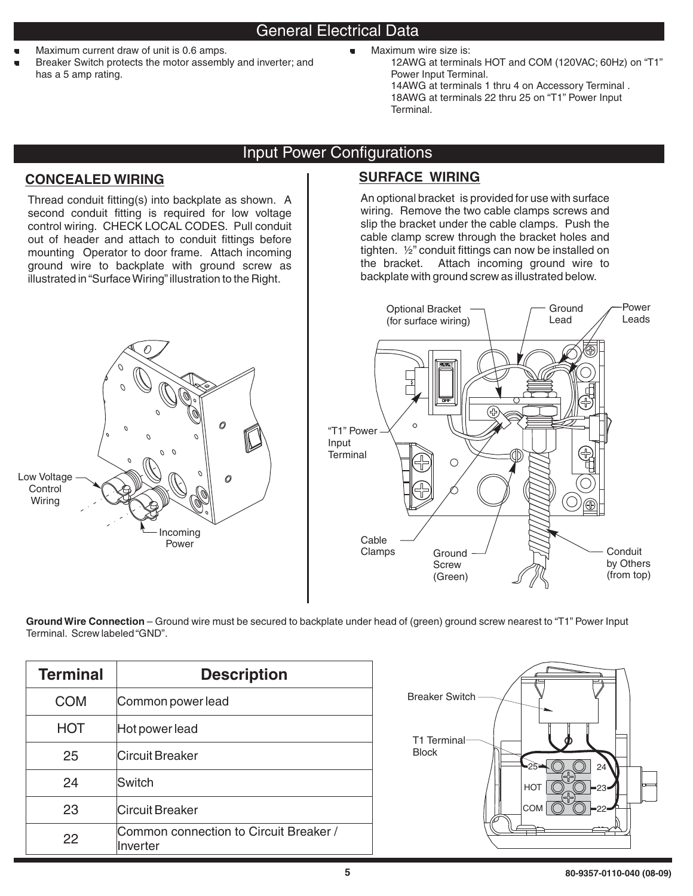- .<br>.
- Maximum current draw of unit is 0.6 amps. Breaker Switch protects the motor assembly and inverter; and has a 5 amp rating.
- Maximum wire size is:
	- 12AWG at terminals HOT and COM (120VAC; 60Hz) on "T1" Power Input Terminal. 14AWG at terminals 1 thru 4 on Accessory Terminal . 18AWG at terminals 22 thru 25 on "T1" Power Input Terminal.

# Input Power Configurations

# **CONCEALED WIRING SURFACE WIRING**

Thread conduit fitting(s) into backplate as shown. A second conduit fitting is required for low voltage control wiring. CHECK LOCAL CODES. Pull conduit out of header and attach to conduit fittings before mounting Operator to door frame. Attach incoming ground wire to backplate with ground screw as illustrated in"SurfaceWiring"illustration to the Right.



An optional bracket is provided for use with surface wiring. Remove the two cable clamps screws and slip the bracket under the cable clamps. Push the cable clamp screw through the bracket holes and tighten. ½" conduit fittings can now be installed on the bracket. Attach incoming ground wire to backplate with ground screw as illustrated below.



**Ground Wire Connection** – Ground wire must be secured to backplate under head of (green) ground screw nearest to "T1" Power Input Terminal. Screw labeled"GND".

| <b>Terminal</b> | <b>Description</b>                                 |  |
|-----------------|----------------------------------------------------|--|
| COM             | Common power lead                                  |  |
| HOT             | Hot power lead                                     |  |
| 25              | <b>Circuit Breaker</b>                             |  |
| 24              | Switch                                             |  |
| 23              | Circuit Breaker                                    |  |
| 22              | Common connection to Circuit Breaker /<br>Inverter |  |

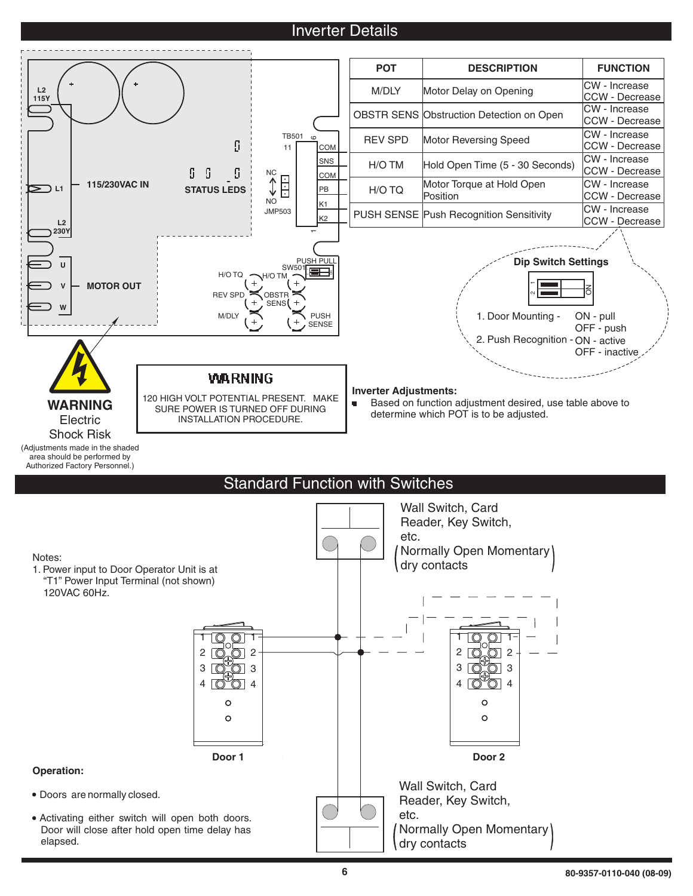# **Inverter Details**



- Doors are normally closed.
- Activating either switch will open both doors. Door will close after hold open time delay has elapsed.

Reader, Key Switch,

Normally Open Momentary

etc.

dry contacts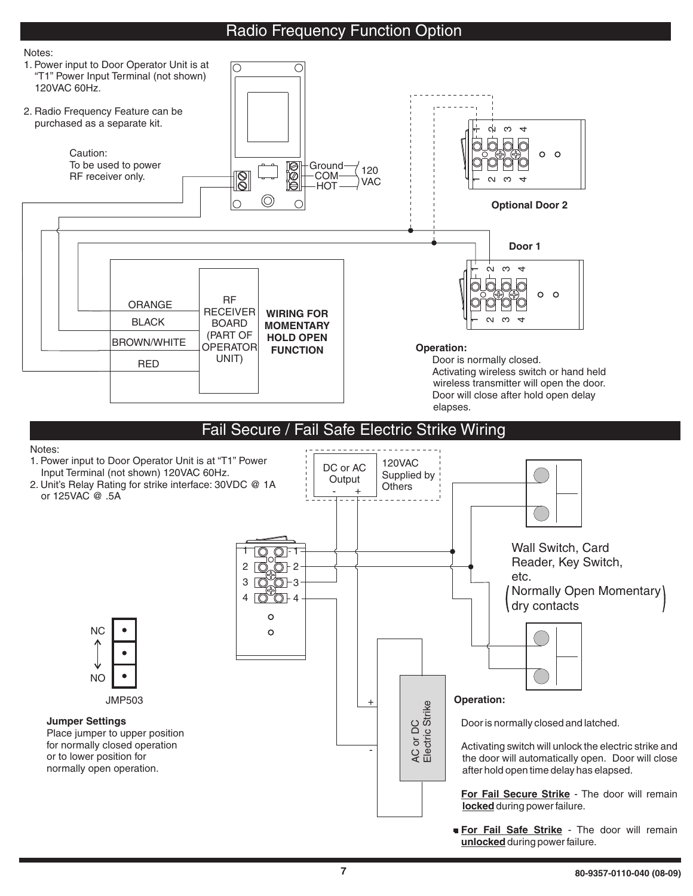# Radio Frequency Function Option





unlocked during power failure.